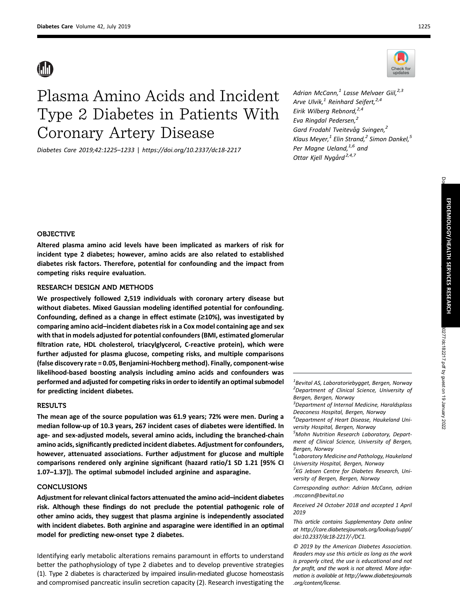# Plasma Amino Acids and Incident Type 2 Diabetes in Patients With Coronary Artery Disease

Diabetes Care 2019;42:1225–1233 | <https://doi.org/10.2337/dc18-2217>



Adrian McCann, $<sup>1</sup>$  Lasse Melvaer Giil, $<sup>2,3</sup>$ </sup></sup> Arve Ulvik, $^1$  Reinhard Seifert, $^{2,4}$ Eirik Wilberg Rebnord, 2,4 Eva Ringdal Pedersen,<sup>2</sup> Gard Frodahl Tveitevåg Svingen,<sup>2</sup> Klaus Meyer, $^1$  Elin Strand, $^2$  Simon Dankel, $^5$ Per Magne Ueland, $1,6$  and Ottar Kjell Nygård<sup>2,4,7</sup>

# OBJECTIVE

Altered plasma amino acid levels have been implicated as markers of risk for incident type 2 diabetes; however, amino acids are also related to established diabetes risk factors. Therefore, potential for confounding and the impact from competing risks require evaluation.

# RESEARCH DESIGN AND METHODS

We prospectively followed 2,519 individuals with coronary artery disease but without diabetes. Mixed Gaussian modeling identified potential for confounding. Confounding, defined as a change in effect estimate  $(≥10%)$ , was investigated by comparing amino acid–incident diabetes risk in a Cox model containing age and sex with that in models adjusted for potential confounders (BMI, estimated glomerular filtration rate, HDL cholesterol, triacylglycerol, C-reactive protein), which were further adjusted for plasma glucose, competing risks, and multiple comparisons (false discovery rate = 0.05, Benjamini-Hochberg method). Finally, component-wise likelihood-based boosting analysis including amino acids and confounders was performed and adjusted for competing risks in order to identify an optimal submodel for predicting incident diabetes.

# RESULTS

The mean age of the source population was 61.9 years; 72% were men. During a median follow-up of 10.3 years, 267 incident cases of diabetes were identified. In age- and sex-adjusted models, several amino acids, including the branched-chain amino acids, significantly predicted incident diabetes. Adjustment for confounders, however, attenuated associations. Further adjustment for glucose and multiple comparisons rendered only arginine significant (hazard ratio/1 SD 1.21 [95% CI 1.07–1.37]). The optimal submodel included arginine and asparagine.

# **CONCLUSIONS**

Adjustment for relevant clinical factors attenuated the amino acid–incident diabetes risk. Although these findings do not preclude the potential pathogenic role of other amino acids, they suggest that plasma arginine is independently associated with incident diabetes. Both arginine and asparagine were identified in an optimal model for predicting new-onset type 2 diabetes.

Identifying early metabolic alterations remains paramount in efforts to understand better the pathophysiology of type 2 diabetes and to develop preventive strategies (1). Type 2 diabetes is characterized by impaired insulin-mediated glucose homeostasis and compromised pancreatic insulin secretion capacity (2). Research investigating the

<sup>1</sup> Bevital AS, Laboratoriebygget, Bergen, Norway <sup>2</sup>Department of Clinical Science, University of Bergen, Bergen, Norway

<sup>3</sup> Department of Internal Medicine, Haraldsplass Deaconess Hospital, Bergen, Norway

4 Department of Heart Disease, Haukeland University Hospital, Bergen, Norway

5 Mohn Nutrition Research Laboratory, Department of Clinical Science, University of Bergen, Bergen, Norway

6 Laboratory Medicine and Pathology, Haukeland University Hospital, Bergen, Norway

<sup>7</sup>KG Jebsen Centre for Diabetes Research, University of Bergen, Bergen, Norway

Corresponding author: Adrian McCann, [adrian](mailto:adrian.mccann@bevital.no) [.mccann@bevital.no](mailto:adrian.mccann@bevital.no)

Received 24 October 2018 and accepted 1 April 2019

This article contains Supplementary Data online at [http://care.diabetesjournals.org/lookup/suppl/](http://care.diabetesjournals.org/lookup/suppl/doi:10.2337/dc18-2217/-/DC1) [doi:10.2337/dc18-2217/-/DC1](http://care.diabetesjournals.org/lookup/suppl/doi:10.2337/dc18-2217/-/DC1).

© 2019 by the American Diabetes Association. Readers may use this article as long as the work is properly cited, the use is educational and not for profit, and the work is not altered. More information is available at [http://www.diabetesjournals](http://www.diabetesjournals.org/content/license) [.org/content/license](http://www.diabetesjournals.org/content/license).

ă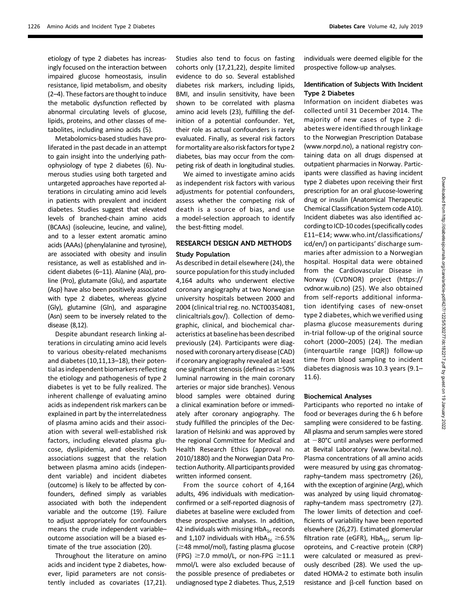etiology of type 2 diabetes has increasingly focused on the interaction between impaired glucose homeostasis, insulin resistance, lipid metabolism, and obesity (2–4). These factors are thought to induce the metabolic dysfunction reflected by abnormal circulating levels of glucose, lipids, proteins, and other classes of metabolites, including amino acids (5).

Metabolomics-based studies have proliferated in the past decade in an attempt to gain insight into the underlying pathophysiology of type 2 diabetes (6). Numerous studies using both targeted and untargeted approaches have reported alterations in circulating amino acid levels in patients with prevalent and incident diabetes. Studies suggest that elevated levels of branched-chain amino acids (BCAAs) (isoleucine, leucine, and valine), and to a lesser extent aromatic amino acids (AAAs) (phenylalanine and tyrosine), are associated with obesity and insulin resistance, as well as established and incident diabetes (6–11). Alanine (Ala), proline (Pro), glutamate (Glu), and aspartate (Asp) have also been positively associated with type 2 diabetes, whereas glycine (Gly), glutamine (Gln), and asparagine (Asn) seem to be inversely related to the disease (8,12).

Despite abundant research linking alterations in circulating amino acid levels to various obesity-related mechanisms and diabetes (10,11,13–18), their potential as independent biomarkers reflecting the etiology and pathogenesis of type 2 diabetes is yet to be fully realized. The inherent challenge of evaluating amino acids as independent risk markers can be explained in part by the interrelatedness of plasma amino acids and their association with several well-established risk factors, including elevated plasma glucose, dyslipidemia, and obesity. Such associations suggest that the relation between plasma amino acids (independent variable) and incident diabetes (outcome) is likely to be affected by confounders, defined simply as variables associated with both the independent variable and the outcome (19). Failure to adjust appropriately for confounders means the crude independent variable– outcome association will be a biased estimate of the true association (20).

Throughout the literature on amino acids and incident type 2 diabetes, however, lipid parameters are not consistently included as covariates (17,21).

Studies also tend to focus on fasting cohorts only (17,21,22), despite limited evidence to do so. Several established diabetes risk markers, including lipids, BMI, and insulin sensitivity, have been shown to be correlated with plasma amino acid levels (23), fulfilling the definition of a potential confounder. Yet, their role as actual confounders is rarely evaluated. Finally, as several risk factors for mortality are also risk factors for type 2 diabetes, bias may occur from the competing risk of death in longitudinal studies.

We aimed to investigate amino acids as independent risk factors with various adjustments for potential confounders, assess whether the competing risk of death is a source of bias, and use a model-selection approach to identify the best-fitting model.

# RESEARCH DESIGN AND METHODS

### Study Population

As described in detail elsewhere (24), the source population for this study included 4,164 adults who underwent elective coronary angiography at two Norwegian university hospitals between 2000 and 2004 (clinical trial reg. no. NCT00354081, clinicaltrials.gov/). Collection of demographic, clinical, and biochemical characteristics at baseline has been described previously (24). Participants were diagnosed with coronary artery disease (CAD) if coronary angiography revealed at least one significant stenosis (defined as  $\geq$ 50% luminal narrowing in the main coronary arteries or major side branches). Venous blood samples were obtained during a clinical examination before or immediately after coronary angiography. The study fulfilled the principles of the Declaration of Helsinki and was approved by the regional Committee for Medical and Health Research Ethics (approval no. 2010/1880) and the Norwegian Data Protection Authority. All participants provided written informed consent.

From the source cohort of 4,164 adults, 496 individuals with medicationconfirmed or a self-reported diagnosis of diabetes at baseline were excluded from these prospective analyses. In addition, 42 individuals with missing  $HbA_{1c}$  records and 1,107 individuals with  $HbA_{1c} \ge 6.5%$  $\approx$  48 mmol/mol), fasting plasma glucose (FPG)  $\geq$  7.0 mmol/L, or non-FPG  $\geq$ 11.1 mmol/L were also excluded because of the possible presence of prediabetes or undiagnosed type 2 diabetes. Thus, 2,519 individuals were deemed eligible for the prospective follow-up analyses.

# Identification of Subjects With Incident Type 2 Diabetes

Information on incident diabetes was collected until 31 December 2014. The majority of new cases of type 2 diabetes were identified through linkage to the Norwegian Prescription Database [\(www.norpd.no\)](http://www.norpd.no), a national registry containing data on all drugs dispensed at outpatient pharmacies in Norway. Participants were classified as having incident type 2 diabetes upon receiving their first prescription for an oral glucose-lowering drug or insulin (Anatomical Therapeutic Chemical Classification System code A10). Incident diabetes was also identified according toICD-10 codes (specifically codes E11–E14; [www.who.int/classi](http://www.who.int/classifications/icd/en/)fications/ [icd/en/\)](http://www.who.int/classifications/icd/en/) on participants' discharge summaries after admission to a Norwegian hospital. Hospital data were obtained from the Cardiovascular Disease in Norway (CVDNOR) project ([https://](https://cvdnor.w.uib.no) [cvdnor.w.uib.no](https://cvdnor.w.uib.no)) (25). We also obtained from self-reports additional information identifying cases of new-onset type 2 diabetes, which we verified using plasma glucose measurements during in-trial follow-up of the original source cohort (2000–2005) (24). The median (interquartile range [IQR]) follow-up time from blood sampling to incident diabetes diagnosis was 10.3 years (9.1– 11.6).

## Biochemical Analyses

Participants who reported no intake of food or beverages during the 6 h before sampling were considered to be fasting. All plasma and serum samples were stored at  $-80^{\circ}$ C until analyses were performed at Bevital Laboratory ([www.bevital.no\)](http://www.bevital.no). Plasma concentrations of all amino acids were measured by using gas chromatography–tandem mass spectrometry (26), with the exception of arginine (Arg), which was analyzed by using liquid chromatography–tandem mass spectrometry (27). The lower limits of detection and coefficients of variability have been reported elsewhere (26,27). Estimated glomerular filtration rate (eGFR),  $HbA_{1c}$ , serum lipoproteins, and C-reactive protein (CRP) were calculated or measured as previously described (28). We used the updated HOMA-2 to estimate both insulin  $resistance$  and  $\beta$ -cell function based on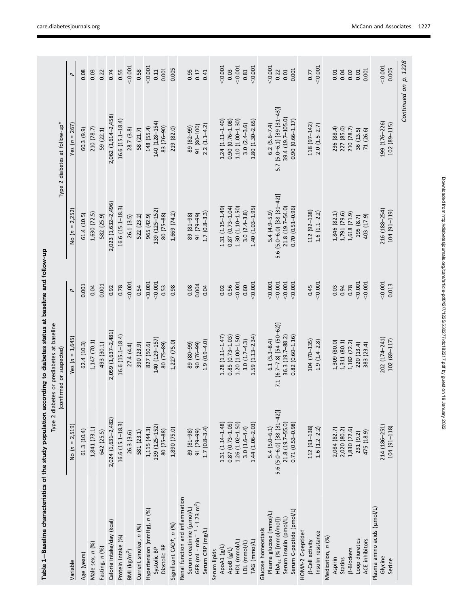| 2,059 (1,637-2,481)<br>$16.6(15.1 - 18.4)$<br>$1.20(1.00 - 1.50)$<br>$1.28(1.11 - 1.47)$<br>$0.85(0.73 - 1.03)$<br>Yes $(n = 1,645)$<br>140 (129-157)<br>$3.0(1.7-4.3)$<br>$1.9(0.9 - 4.0)$<br>1,147 (70.1)<br>1,227 (75.0)<br>80 (75-89)<br>62.4 (10.3)<br>493 (30.1)<br>$(66 - 08)$ 68<br>90 (76-99)<br>390 (23.9)<br>827 (50.6)<br>27.4(4.4) | < 0.001<br>< 0.001<br>< 0.001<br>0.001<br>0.004<br>0.78<br>0.001<br>0.54<br>0.98<br>0.08<br>0.04<br>0.92<br>0.53<br>0.04<br>0.02<br>$\overline{a}$ | 2,023 (1,632-2,496)<br>$16.6$ $(15.1 - 18.3)$<br>No ( $n = 2,252$<br>139 (125-152)<br>$1.7(0.8-3.3)$<br>1,630 (72.5)<br>1,669 (74.2)<br>61.4 (10.5)<br>80 (75-88)<br>89 (81-98)<br>91 (79-99)<br>582 (25.9)<br>522 (23.2)<br>965 (42.9)<br>26.1 (3.5) | 2,062 (1,614-2,458)<br>$16.6$ $(15.1 - 18.4)$<br>140 (128-154)<br>Yes $(n = 267)$<br>83 (76-90)<br>89 (82-99)<br>219 (82.0)<br>148 (55.4)<br>210 (78.7)<br>60.3 (9.9)<br>59 (22.1)<br>28.7 (3.8)<br>58 (21.7) | < 0.001<br>< 0.001<br>0.005<br>0.58<br>0.001<br>0.55<br>0.11<br>0.95<br>0.74<br>0.08<br>0.03<br>0.22<br>0.17<br>P   |
|-------------------------------------------------------------------------------------------------------------------------------------------------------------------------------------------------------------------------------------------------------------------------------------------------------------------------------------------------|----------------------------------------------------------------------------------------------------------------------------------------------------|-------------------------------------------------------------------------------------------------------------------------------------------------------------------------------------------------------------------------------------------------------|---------------------------------------------------------------------------------------------------------------------------------------------------------------------------------------------------------------|---------------------------------------------------------------------------------------------------------------------|
|                                                                                                                                                                                                                                                                                                                                                 |                                                                                                                                                    |                                                                                                                                                                                                                                                       |                                                                                                                                                                                                               |                                                                                                                     |
|                                                                                                                                                                                                                                                                                                                                                 |                                                                                                                                                    |                                                                                                                                                                                                                                                       |                                                                                                                                                                                                               |                                                                                                                     |
|                                                                                                                                                                                                                                                                                                                                                 |                                                                                                                                                    |                                                                                                                                                                                                                                                       |                                                                                                                                                                                                               |                                                                                                                     |
|                                                                                                                                                                                                                                                                                                                                                 |                                                                                                                                                    |                                                                                                                                                                                                                                                       |                                                                                                                                                                                                               |                                                                                                                     |
|                                                                                                                                                                                                                                                                                                                                                 |                                                                                                                                                    |                                                                                                                                                                                                                                                       |                                                                                                                                                                                                               |                                                                                                                     |
|                                                                                                                                                                                                                                                                                                                                                 |                                                                                                                                                    |                                                                                                                                                                                                                                                       |                                                                                                                                                                                                               |                                                                                                                     |
|                                                                                                                                                                                                                                                                                                                                                 |                                                                                                                                                    |                                                                                                                                                                                                                                                       |                                                                                                                                                                                                               |                                                                                                                     |
|                                                                                                                                                                                                                                                                                                                                                 |                                                                                                                                                    |                                                                                                                                                                                                                                                       |                                                                                                                                                                                                               |                                                                                                                     |
|                                                                                                                                                                                                                                                                                                                                                 |                                                                                                                                                    |                                                                                                                                                                                                                                                       |                                                                                                                                                                                                               |                                                                                                                     |
|                                                                                                                                                                                                                                                                                                                                                 |                                                                                                                                                    |                                                                                                                                                                                                                                                       |                                                                                                                                                                                                               |                                                                                                                     |
|                                                                                                                                                                                                                                                                                                                                                 |                                                                                                                                                    |                                                                                                                                                                                                                                                       |                                                                                                                                                                                                               |                                                                                                                     |
|                                                                                                                                                                                                                                                                                                                                                 |                                                                                                                                                    |                                                                                                                                                                                                                                                       |                                                                                                                                                                                                               |                                                                                                                     |
|                                                                                                                                                                                                                                                                                                                                                 |                                                                                                                                                    |                                                                                                                                                                                                                                                       | 91 (80-100)                                                                                                                                                                                                   |                                                                                                                     |
|                                                                                                                                                                                                                                                                                                                                                 |                                                                                                                                                    |                                                                                                                                                                                                                                                       | $2.2(1.1-4.2)$                                                                                                                                                                                                | 0.41                                                                                                                |
|                                                                                                                                                                                                                                                                                                                                                 |                                                                                                                                                    |                                                                                                                                                                                                                                                       |                                                                                                                                                                                                               |                                                                                                                     |
|                                                                                                                                                                                                                                                                                                                                                 |                                                                                                                                                    | 1.31 (1.15-1.49)                                                                                                                                                                                                                                      | $1.24(1.11 - 1.40)$                                                                                                                                                                                           | < 0.001                                                                                                             |
|                                                                                                                                                                                                                                                                                                                                                 | 0.56                                                                                                                                               | $0.87(0.73 - 1.04)$                                                                                                                                                                                                                                   | $0.90(0.76 - 1.08)$                                                                                                                                                                                           | 0.03                                                                                                                |
|                                                                                                                                                                                                                                                                                                                                                 | < 0.001                                                                                                                                            | 1.30 (1.10-1.50)                                                                                                                                                                                                                                      | 1.10 (1.00-1.30)                                                                                                                                                                                              | < 0.001                                                                                                             |
|                                                                                                                                                                                                                                                                                                                                                 | 0.60                                                                                                                                               | $3.0(2.4-3.8)$                                                                                                                                                                                                                                        | $3.0(2.4 - 3.6)$                                                                                                                                                                                              | 0.81                                                                                                                |
| $1.59(1.13 - 2.34)$                                                                                                                                                                                                                                                                                                                             | < 0.001                                                                                                                                            | $1.40(1.03 - 1.95)$                                                                                                                                                                                                                                   | $1.80(1.30 - 2.65)$                                                                                                                                                                                           | < 0.001                                                                                                             |
| $6.1 (5.3 - 8.4)$                                                                                                                                                                                                                                                                                                                               | < 0.001                                                                                                                                            | $5.4(4.9 - 5.9)$                                                                                                                                                                                                                                      | $6.2$ (5.6-7.4)                                                                                                                                                                                               | < 0.001                                                                                                             |
| 7.1 (6.7-7.8) [54 (50-62)]<br>5.6 (5.0-6.0) [38 (31-42)]                                                                                                                                                                                                                                                                                        | < 0.001                                                                                                                                            | 5.6 $(5.0-6.0)$ [38 $(31-42)$ ]                                                                                                                                                                                                                       | 5.7 (5.0–6.1) [39 (31–43)]                                                                                                                                                                                    | 0.22                                                                                                                |
|                                                                                                                                                                                                                                                                                                                                                 |                                                                                                                                                    |                                                                                                                                                                                                                                                       |                                                                                                                                                                                                               | 0.001<br>0.01                                                                                                       |
|                                                                                                                                                                                                                                                                                                                                                 |                                                                                                                                                    |                                                                                                                                                                                                                                                       |                                                                                                                                                                                                               |                                                                                                                     |
| 104 (70-135)                                                                                                                                                                                                                                                                                                                                    | 0.45                                                                                                                                               | 112 (92-138)                                                                                                                                                                                                                                          | 118 (97-142)                                                                                                                                                                                                  | 0.77                                                                                                                |
|                                                                                                                                                                                                                                                                                                                                                 |                                                                                                                                                    |                                                                                                                                                                                                                                                       |                                                                                                                                                                                                               | < 0.001                                                                                                             |
|                                                                                                                                                                                                                                                                                                                                                 |                                                                                                                                                    |                                                                                                                                                                                                                                                       |                                                                                                                                                                                                               | 0.01                                                                                                                |
| 1,311 (80.1)                                                                                                                                                                                                                                                                                                                                    | 0.94                                                                                                                                               | 1,791 (79.6)                                                                                                                                                                                                                                          | 227 (85.0)                                                                                                                                                                                                    | 0.04                                                                                                                |
| 1,182 (72.2)                                                                                                                                                                                                                                                                                                                                    | 0.78                                                                                                                                               | 1,618 (71.9)                                                                                                                                                                                                                                          | 210 (78.7)                                                                                                                                                                                                    | 0.02                                                                                                                |
|                                                                                                                                                                                                                                                                                                                                                 |                                                                                                                                                    |                                                                                                                                                                                                                                                       |                                                                                                                                                                                                               | 0.01                                                                                                                |
|                                                                                                                                                                                                                                                                                                                                                 |                                                                                                                                                    |                                                                                                                                                                                                                                                       |                                                                                                                                                                                                               | 0.001                                                                                                               |
|                                                                                                                                                                                                                                                                                                                                                 |                                                                                                                                                    |                                                                                                                                                                                                                                                       |                                                                                                                                                                                                               |                                                                                                                     |
| 102 (89-117)                                                                                                                                                                                                                                                                                                                                    | 0.013                                                                                                                                              | 104 (91-119)                                                                                                                                                                                                                                          | 102 (89-115)                                                                                                                                                                                                  | < 0.001<br>0.005                                                                                                    |
|                                                                                                                                                                                                                                                                                                                                                 |                                                                                                                                                    |                                                                                                                                                                                                                                                       |                                                                                                                                                                                                               | Continued on p. 1228                                                                                                |
| 36.3 (19.7-88.2)<br>$0.82(0.60 - 1.16)$<br>202 (174-241)<br>$1.9(1.4-2.8)$<br>1,309 (80.0)<br>220 (13.4)<br>383 (23.4)                                                                                                                                                                                                                          |                                                                                                                                                    | < 0.001<br>< 0.001<br>< 0.001<br>< 0.001<br>< 0.001<br>< 0.001<br>0.03                                                                                                                                                                                | $0.70(0.51 - 0.96)$<br>21.8 (19.7-54.0)<br>216 (188-254)<br>$1.6(1.1-2.2)$<br>1,846 (82.1)<br>403 (17.9)<br>195 (8.7)                                                                                         | 39.4 (19.7-105.0)<br>$0.90(0.66 - 1.17)$<br>199 (176-226)<br>$2.0(1.5-2.7)$<br>236 (88.4)<br>36 (13.5)<br>71 (26.6) |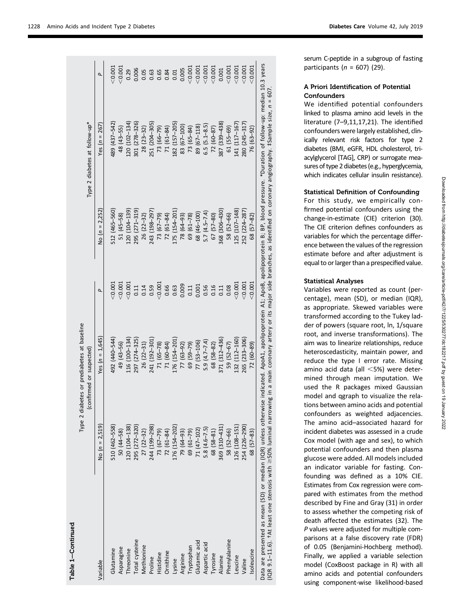|                                                                                                                                                                                                                                                                                                                                                                                      |                  | Type 2 diabetes or prediabetes at baseline<br>(confirmed or suspected) |         |                   | Type 2 diabetes at follow-up* |         |
|--------------------------------------------------------------------------------------------------------------------------------------------------------------------------------------------------------------------------------------------------------------------------------------------------------------------------------------------------------------------------------------|------------------|------------------------------------------------------------------------|---------|-------------------|-------------------------------|---------|
| Variable                                                                                                                                                                                                                                                                                                                                                                             | No $(n = 2,519)$ | Yes $(n = 1,645)$                                                      | P       | No $(n = 2.252)$  | Yes $(n = 267)$               | P       |
| Glutamine                                                                                                                                                                                                                                                                                                                                                                            | 510 (462-558)    | 492 (440-544)                                                          | < 0.001 | 512 (465-560)     | 489 (437-542)                 | 0.001   |
| Asparagine                                                                                                                                                                                                                                                                                                                                                                           | 50 (44-58)       | 49 (43–56)                                                             | < 0.001 | 51 (45-58)        | 48 (43-55)                    | < 0.001 |
| Threonine                                                                                                                                                                                                                                                                                                                                                                            | 120 (104-138)    | 116 (100-134)                                                          | < 0.001 | 120 (104-139)     | $120(102 - 134)$              | 0.29    |
| Total cysteine                                                                                                                                                                                                                                                                                                                                                                       | 295 (272-320)    | 297 (274–325)                                                          | 0.11    | 295 (271-319)     | 301 (278-326)                 | 0.006   |
| Methionine                                                                                                                                                                                                                                                                                                                                                                           | $27(22-32)$      | $26(22-31)$                                                            | 0.14    | $26(22-32)$       | $28(23-32)$                   | 0.05    |
| Proline                                                                                                                                                                                                                                                                                                                                                                              | 244 (199-298)    | 241 (192-301                                                           | 0.59    | 243 (198-297)     | 251 (204-305)                 | 0.63    |
| Histidine                                                                                                                                                                                                                                                                                                                                                                            | 73 (67-79)       | $71(65-78)$                                                            | < 0.001 | 73 (67-79)        | $73(66-79)$                   | 0.65    |
| Ornithine                                                                                                                                                                                                                                                                                                                                                                            | $72(61 - 84)$    | 71 (60-84)                                                             | 0.66    | 72 (61-84)        | $71(61 - 84)$                 | 0.84    |
| Lysine                                                                                                                                                                                                                                                                                                                                                                               | 176 (154-202)    | 176 (154-201                                                           | 0.63    | 175 (154-201      | 182 (157-205)                 | 0.01    |
| Arginine                                                                                                                                                                                                                                                                                                                                                                             | 79 (64-93)       | 77 (63-92)                                                             | 0.009   | 78 (64-93)        | 83 (67-100)                   | 0.005   |
| Tryptophan                                                                                                                                                                                                                                                                                                                                                                           | 69 (61-79)       | 69 (59–79)                                                             | 0.11    | 69 (61-78)        | 73 (65-84)                    | < 0.001 |
| Glutamic acid                                                                                                                                                                                                                                                                                                                                                                        | 71 (47-102)      | 77 (53-106)                                                            | 0.001   | 68 (46-100)       | 89 (67-118)                   | < 0.001 |
| Aspartic acid                                                                                                                                                                                                                                                                                                                                                                        | $5.8(4.6-7.5)$   | 5.9 $(4.7 - 7.4)$                                                      | 0.56    | 5.7 $(4.5 - 7.4)$ | $6.5(5.1 - 8.5)$              | < 0.001 |
| Tyrosine                                                                                                                                                                                                                                                                                                                                                                             | 68 (58-81)       | 68 (58-82)                                                             | 0.16    | 67 (57-80)        | 72 (60-87)                    | < 0.001 |
| Alanine                                                                                                                                                                                                                                                                                                                                                                              | 369 (310-431)    | 371 (312-436)                                                          | 0.11    | 368 (306-430)     | 387 (339–438)                 | 0.001   |
| Phenylalanine                                                                                                                                                                                                                                                                                                                                                                        | 58 (52-66)       | 59 (52-67)                                                             | 0.08    | 58 (52-66)        | $61(55-69)$                   | < 0.001 |
| Leucine                                                                                                                                                                                                                                                                                                                                                                              | 126 (108-151)    | 132 (112-160)                                                          | < 0.001 | 125 (107-148)     | 141 (117-167)                 | < 0.001 |
| Valine                                                                                                                                                                                                                                                                                                                                                                               | 254 (226-290)    | 265 (233-306)                                                          | < 0.001 | 252 (224-287)     | 280 (245-317)                 | < 0.001 |
| Isoleucine                                                                                                                                                                                                                                                                                                                                                                           | 68 (57-83)       | $72(60-89)$                                                            | < 0.001 | 68 (57-82)        | 76 (63-92)                    | < 0.001 |
| Data are presented as mean (SD) or median (IQR) unless otherwise indicated. ApoA1, apolipoprotein A1; ApoB, apolipoprotein B; BP, blood pressure. *Duration of follow-up: median 10.3 years<br>(IQR 9.1–11.6). †At least one stenosis with ≥50% luminal narrowing in a main coronary arter or its maior side branches, as identified on coronary angiography. ‡Sample size, n = 607. |                  |                                                                        |         |                   |                               |         |

(IQR 9.1–11.6). †At least one stenosis with ≥50% luminal narrowing in a main coronary artery or its major side branches, as identified on coronary angiography. ‡Sample size, n = 607.

# A Priori Identi fication of Potential **Confounders**

We identi fied potential confounders linked to plasma amino acid levels in the literature (7 –9,11,17,21). The identi fied confounders were largely established, clinically relevant risk factors for type 2 diabetes (BMI, eGFR, HDL cholesterol, triacylglycerol [TAG], CRP) or surrogate measures of type 2 diabetes (e.g., hyperglycemia, which indicates cellular insulin resistance).

# Statistical De finition of Confounding

For this study, we empirically con firmed potential confounders using the change-in-estimate (CIE) criterion (30). The CIE criterion de fines confounders as variables for which the percentage difference between the values of the regression estimate before and after adjustment is equal to or larger than a prespeci fied value.

# Statistical Analyses

Variables were reported as count (percentage), mean (SD), or median (IQR), as appropriate. Skewed variables were transformed according to the Tukey ladder of powers (square root, ln, 1/square root, and inverse transformations). The aim was to linearize relationships, reduce heteroscedasticity, maintain power, and reduce the type I error rate. Missing amino acid data (all ,5%) were determined through mean imputation. We used the R packages mixed Gaussian model and qgraph to visualize the relations between amino acids and potential confounders as weighted adjacencies. The amino acid –associated hazard for incident diabetes was assessed in a crude Cox model (with age and sex), to which potential confounders and then plasma glucose were added. All models included an indicator variable for fasting. Confounding was defined as a 10% CIE. Estimates from Cox regression were compared with estimates from the method described by Fine and Gray (31) in order to assess whether the competing risk of death affected the estimates (32). The P values were adjusted for multiple comparisons at a false discovery rate (FDR) of 0.05 (Benjamini-Hochberg method). Finally, we applied a variable selection model (CoxBoost package in R) with all amino acids and potential confounders using component-wise likelihood-based

Table 1—Continued

Table 1-Continued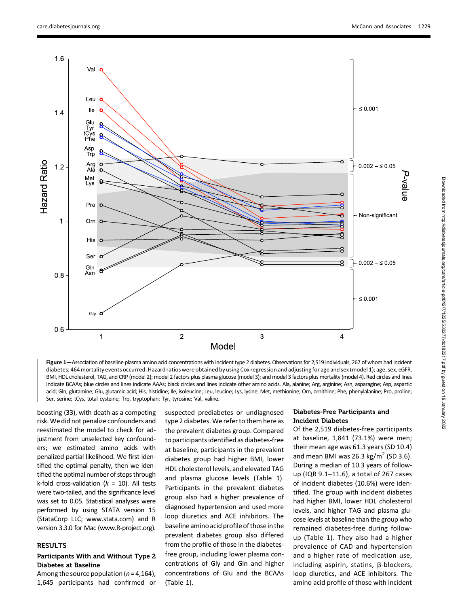

Figure 1—Association of baseline plasma amino acid concentrations with incident type 2 diabetes. Observations for 2,519 individuals, 267 of whom had incident diabetes; 464 mortality events occurred. Hazard ratios were obtained by using Cox regression and adjusting for age and sex (model 1); age, sex, eGFR, BMI, HDL cholesterol, TAG, and CRP (model 2); model 2 factors plus plasma glucose (model 3); and model 3 factors plus mortality (model 4). Red circles and lines indicate BCAAs; blue circles and lines indicate AAAs; black circles and lines indicate other amino acids. Ala, alanine; Arg, arginine; Asn, asparagine; Asp, aspartic acid; Gln, glutamine; Glu, glutamic acid; His, histidine; Ile, isoleucine; Leu, leucine; Lys, lysine; Met, methionine; Orn, ornithine; Phe, phenylalanine; Pro, proline; Ser, serine; tCys, total cysteine; Trp, tryptophan; Tyr, tyrosine; Val, valine.

boosting (33), with death as a competing risk. We did not penalize confounders and reestimated the model to check for adjustment from unselected key confounders; we estimated amino acids with penalized partial likelihood. We first identified the optimal penalty, then we identified the optimal number of steps through k-fold cross-validation ( $k = 10$ ). All tests were two-tailed, and the significance level was set to 0.05. Statistical analyses were performed by using STATA version 15 (StataCorp LLC; [www.stata.com](http://www.stata.com)) and R version 3.3.0 for Mac [\(www.R-project.org](http://www.R-project.org)).

# **RESULTS**

# Participants With and Without Type 2 Diabetes at Baseline

Among the source population ( $n = 4,164$ ), 1,645 participants had confirmed or suspected prediabetes or undiagnosed type 2 diabetes. We refer to them here as the prevalent diabetes group. Compared to participants identified as diabetes-free at baseline, participants in the prevalent diabetes group had higher BMI, lower HDL cholesterol levels, and elevated TAG and plasma glucose levels (Table 1). Participants in the prevalent diabetes group also had a higher prevalence of diagnosed hypertension and used more loop diuretics and ACE inhibitors. The baseline amino acid profile of those in the prevalent diabetes group also differed from the profile of those in the diabetesfree group, including lower plasma concentrations of Gly and Gln and higher concentrations of Glu and the BCAAs (Table 1).

# Diabetes-Free Participants and Incident Diabetes

Of the 2,519 diabetes-free participants at baseline, 1,841 (73.1%) were men; their mean age was 61.3 years (SD 10.4) and mean BMI was 26.3 kg/m<sup>2</sup> (SD 3.6). During a median of 10.3 years of followup (IQR 9.1–11.6), a total of 267 cases of incident diabetes (10.6%) were identified. The group with incident diabetes had higher BMI, lower HDL cholesterol levels, and higher TAG and plasma glucose levels at baseline than the group who remained diabetes-free during followup (Table 1). They also had a higher prevalence of CAD and hypertension and a higher rate of medication use, including aspirin, statins,  $\beta$ -blockers, loop diuretics, and ACE inhibitors. The amino acid profile of those with incident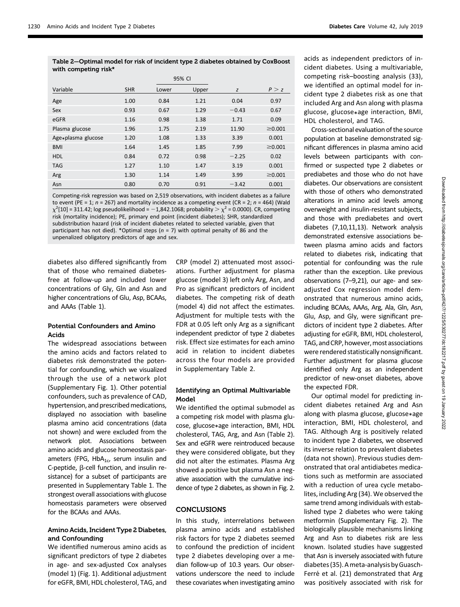Table 2—Optimal model for risk of incident type 2 diabetes obtained by CoxBoost with competing risk\*

|                    |            | 95% CI |       |         |              |
|--------------------|------------|--------|-------|---------|--------------|
| Variable           | <b>SHR</b> | Lower  | Upper | z       | P > z        |
| Age                | 1.00       | 0.84   | 1.21  | 0.04    | 0.97         |
| Sex                | 0.93       | 0.67   | 1.29  | $-0.43$ | 0.67         |
| eGFR               | 1.16       | 0.98   | 1.38  | 1.71    | 0.09         |
| Plasma glucose     | 1.96       | 1.75   | 2.19  | 11.90   | $\geq 0.001$ |
| Age*plasma glucose | 1.20       | 1.08   | 1.33  | 3.39    | 0.001        |
| <b>BMI</b>         | 1.64       | 1.45   | 1.85  | 7.99    | $\geq 0.001$ |
| <b>HDL</b>         | 0.84       | 0.72   | 0.98  | $-2.25$ | 0.02         |
| <b>TAG</b>         | 1.27       | 1.10   | 1.47  | 3.19    | 0.001        |
| Arg                | 1.30       | 1.14   | 1.49  | 3.99    | $\geq 0.001$ |
| Asn                | 0.80       | 0.70   | 0.91  | $-3.42$ | 0.001        |

Competing-risk regression was based on 2,519 observations, with incident diabetes as a failure to event (PE = 1;  $n = 267$ ) and mortality incidence as a competing event (CR = 2;  $n = 464$ ) (Wald  $\chi^2$ [10] = 311.42; log pseudolikelihood =  $-1,$ 842.1068; probability  $>\chi^2$  = 0.0000). CR, competing risk (mortality incidence); PE, primary end point (incident diabetes); SHR, standardized subdistribution hazard (risk of incident diabetes related to selected variable, given that participant has not died). \*Optimal steps ( $n = 7$ ) with optimal penalty of 86 and the unpenalized obligatory predictors of age and sex.

diabetes also differed significantly from that of those who remained diabetesfree at follow-up and included lower concentrations of Gly, Gln and Asn and higher concentrations of Glu, Asp, BCAAs, and AAAs (Table 1).

# Potential Confounders and Amino Acids

The widespread associations between the amino acids and factors related to diabetes risk demonstrated the potential for confounding, which we visualized through the use of a network plot ([Supplementary Fig. 1](http://care.diabetesjournals.org/lookup/suppl/doi:10.2337/dc18-2217/-/DC1)). Other potential confounders, such as prevalence of CAD, hypertension, and prescribed medications, displayed no association with baseline plasma amino acid concentrations (data not shown) and were excluded from the network plot. Associations between amino acids and glucose homeostasis parameters (FPG,  $HbA_{1c}$ , serum insulin and C-peptide,  $\beta$ -cell function, and insulin resistance) for a subset of participants are presented in [Supplementary Table 1.](http://care.diabetesjournals.org/lookup/suppl/doi:10.2337/dc18-2217/-/DC1) The strongest overall associations with glucose homeostasis parameters were observed for the BCAAs and AAAs.

# Amino Acids, Incident Type 2 Diabetes, and Confounding

We identified numerous amino acids as significant predictors of type 2 diabetes in age- and sex-adjusted Cox analyses (model 1) (Fig. 1). Additional adjustment for eGFR, BMI, HDL cholesterol, TAG, and

CRP (model 2) attenuated most associations. Further adjustment for plasma glucose (model 3) left only Arg, Asn, and Pro as significant predictors of incident diabetes. The competing risk of death (model 4) did not affect the estimates. Adjustment for multiple tests with the FDR at 0.05 left only Arg as a significant independent predictor of type 2 diabetes risk. Effect size estimates for each amino acid in relation to incident diabetes across the four models are provided in [Supplementary Table 2](http://care.diabetesjournals.org/lookup/suppl/doi:10.2337/dc18-2217/-/DC1).

# Identifying an Optimal Multivariable Model

We identified the optimal submodel as a competing risk model with plasma glucose, glucose\*age interaction, BMI, HDL cholesterol, TAG, Arg, and Asn (Table 2). Sex and eGFR were reintroduced because they were considered obligate, but they did not alter the estimates. Plasma Arg showed a positive but plasma Asn a negative association with the cumulative incidence of type 2 diabetes, as shown in Fig. 2.

# CONCLUSIONS

In this study, interrelations between plasma amino acids and established risk factors for type 2 diabetes seemed to confound the prediction of incident type 2 diabetes developing over a median follow-up of 10.3 years. Our observations underscore the need to include these covariates when investigating amino acids as independent predictors of incident diabetes. Using a multivariable, competing risk–boosting analysis (33), we identified an optimal model for incident type 2 diabetes risk as one that included Arg and Asn along with plasma glucose, glucose\*age interaction, BMI, HDL cholesterol, and TAG.

Cross-sectional evaluation of the source population at baseline demonstrated significant differences in plasma amino acid levels between participants with confirmed or suspected type 2 diabetes or prediabetes and those who do not have diabetes. Our observations are consistent with those of others who demonstrated alterations in amino acid levels among overweight and insulin-resistant subjects, and those with prediabetes and overt diabetes (7,10,11,13). Network analysis demonstrated extensive associations between plasma amino acids and factors related to diabetes risk, indicating that potential for confounding was the rule rather than the exception. Like previous observations (7–9,21), our age- and sexadjusted Cox regression model demonstrated that numerous amino acids, including BCAAs, AAAs, Arg, Ala, Gln, Asn, Glu, Asp, and Gly, were significant predictors of incident type 2 diabetes. After adjusting for eGFR, BMI, HDL cholesterol, TAG, and CRP, however,most associations were rendered statistically nonsignificant. Further adjustment for plasma glucose identified only Arg as an independent predictor of new-onset diabetes, above the expected FDR.

Our optimal model for predicting incident diabetes retained Arg and Asn along with plasma glucose, glucose\*age interaction, BMI, HDL cholesterol, and TAG. Although Arg is positively related to incident type 2 diabetes, we observed its inverse relation to prevalent diabetes (data not shown). Previous studies demonstrated that oral antidiabetes medications such as metformin are associated with a reduction of urea cycle metabolites, including Arg (34). We observed the same trend among individuals with established type 2 diabetes who were taking metformin ([Supplementary Fig. 2\)](http://care.diabetesjournals.org/lookup/suppl/doi:10.2337/dc18-2217/-/DC1). The biologically plausible mechanisms linking Arg and Asn to diabetes risk are less known. Isolated studies have suggested that Asn is inversely associated with future diabetes (35). Ameta-analysis byGuasch-Ferré et al. (21) demonstrated that Arg was positively associated with risk for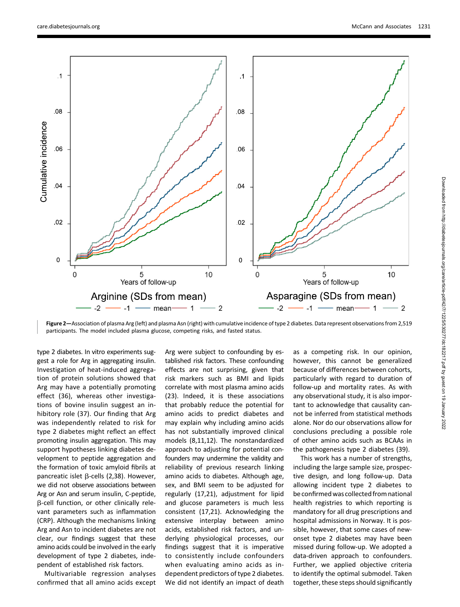

Figure 2—Association of plasma Arg (left) and plasma Asn (right) with cumulative incidence of type 2 diabetes. Data represent observations from 2,519 participants. The model included plasma glucose, competing risks, and fasted status.

type 2 diabetes. In vitro experiments suggest a role for Arg in aggregating insulin. Investigation of heat-induced aggregation of protein solutions showed that Arg may have a potentially promoting effect (36), whereas other investigations of bovine insulin suggest an inhibitory role (37). Our finding that Arg was independently related to risk for type 2 diabetes might reflect an effect promoting insulin aggregation. This may support hypotheses linking diabetes development to peptide aggregation and the formation of toxic amyloid fibrils at pancreatic islet  $\beta$ -cells (2,38). However, we did not observe associations between Arg or Asn and serum insulin, C-peptide, b-cell function, or other clinically relevant parameters such as inflammation (CRP). Although the mechanisms linking Arg and Asn to incident diabetes are not clear, our findings suggest that these amino acids could be involved in the early development of type 2 diabetes, independent of established risk factors.

Multivariable regression analyses confirmed that all amino acids except Arg were subject to confounding by established risk factors. These confounding effects are not surprising, given that risk markers such as BMI and lipids correlate with most plasma amino acids (23). Indeed, it is these associations that probably reduce the potential for amino acids to predict diabetes and may explain why including amino acids has not substantially improved clinical models (8,11,12). The nonstandardized approach to adjusting for potential confounders may undermine the validity and reliability of previous research linking amino acids to diabetes. Although age, sex, and BMI seem to be adjusted for regularly (17,21), adjustment for lipid and glucose parameters is much less consistent (17,21). Acknowledging the extensive interplay between amino acids, established risk factors, and underlying physiological processes, our findings suggest that it is imperative to consistently include confounders when evaluating amino acids as independent predictors of type 2 diabetes. We did not identify an impact of death

as a competing risk. In our opinion, however, this cannot be generalized because of differences between cohorts, particularly with regard to duration of follow-up and mortality rates. As with any observational study, it is also important to acknowledge that causality cannot be inferred from statistical methods alone. Nor do our observations allow for conclusions precluding a possible role of other amino acids such as BCAAs in the pathogenesis type 2 diabetes (39).

This work has a number of strengths, including the large sample size, prospective design, and long follow-up. Data allowing incident type 2 diabetes to be confirmed was collected from national health registries to which reporting is mandatory for all drug prescriptions and hospital admissions in Norway. It is possible, however, that some cases of newonset type 2 diabetes may have been missed during follow-up. We adopted a data-driven approach to confounders. Further, we applied objective criteria to identify the optimal submodel. Taken together, these steps should significantly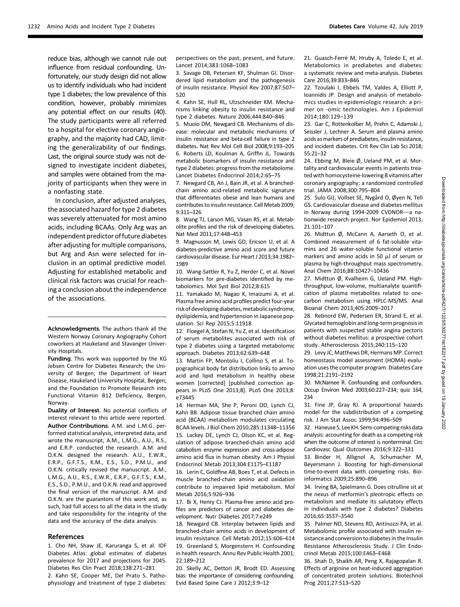reduce bias, although we cannot rule out influence from residual confounding. Unfortunately, our study design did not allow us to identify individuals who had incident type 1 diabetes; the low prevalence of this condition, however, probably minimizes any potential effect on our results (40). The study participants were all referred to a hospital for elective coronary angiography, and the majority had CAD, limiting the generalizability of our findings. Last, the original source study was not designed to investigate incident diabetes, and samples were obtained from the majority of participants when they were in a nonfasting state.

In conclusion, after adjusted analyses, the associated hazard for type 2 diabetes was severely attenuated for most amino acids, including BCAAs. Only Arg was an independent predictor of future diabetes after adjusting for multiple comparisons, but Arg and Asn were selected for inclusion in an optimal predictive model. Adjusting for established metabolic and clinical risk factors was crucial for reaching a conclusion about the independence of the associations.

Acknowledgments. The authors thank all the Western Norway Coronary Angiography Cohort coworkers at Haukeland and Stavanger University Hospitals.

Funding. This work was supported by the KG Jebsen Centre for Diabetes Research; the University of Bergen; the Department of Heart Disease, Haukeland University Hospital, Bergen; and the Foundation to Promote Research into Functional Vitamin B12 Deficiency, Bergen, Norway.

Duality of Interest. No potential conflicts of interest relevant to this article were reported. Author Contributions. A.M. and L.M.G. performed statistical analysis, interpreted data, and wrote the manuscript, A.M., L.M.G., A.U., R.S., and E.R.P. conducted the research. A.M. and O.K.N. designed the research. A.U., E.W.R., E.R.P., G.F.T.S., K.M., E.S., S.D., P.M.U., and O.K.N. critically revised the manuscript. A.M., L.M.G., A.U., R.S., E.W.R., E.R.P., G.F.T.S., K.M., E.S., S.D., P.M.U., and O.K.N. read and approved the final version of the manuscript. A.M. and O.K.N. are the guarantors of this work and, as such, had full access to all the data in the study and take responsibility for the integrity of the data and the accuracy of the data analysis.

#### References

1. Cho NH, Shaw JE, Karuranga S, et al. IDF Diabetes Atlas: global estimates of diabetes prevalence for 2017 and projections for 2045. Diabetes Res Clin Pract 2018;138:271–281

2. Kahn SE, Cooper ME, Del Prato S. Pathophysiology and treatment of type 2 diabetes: perspectives on the past, present, and future. Lancet 2014;383:1068–1083

3. Savage DB, Petersen KF, Shulman GI. Disordered lipid metabolism and the pathogenesis of insulin resistance. Physiol Rev 2007;87:507– 520

4. Kahn SE, Hull RL, Utzschneider KM. Mechanisms linking obesity to insulin resistance and type 2 diabetes. Nature 2006;444:840–846

5. Muoio DM, Newgard CB. Mechanisms of disease: molecular and metabolic mechanisms of insulin resistance and beta-cell failure in type 2 diabetes. Nat Rev Mol Cell Biol 2008;9:193–205 6. Roberts LD, Koulman A, Griffin JL. Towards metabolic biomarkers of insulin resistance and type 2 diabetes: progress from the metabolome. Lancet Diabetes Endocrinol 2014;2:65–75

7. Newgard CB, An J, Bain JR, et al. A branchedchain amino acid-related metabolic signature that differentiates obese and lean humans and contributes to insulin resistance. Cell Metab 2009; 9:311–326

8. Wang TJ, Larson MG, Vasan RS, et al. Metabolite profiles and the risk of developing diabetes. Nat Med 2011;17:448–453

9. Magnusson M, Lewis GD, Ericson U, et al. A diabetes-predictive amino acid score and future cardiovascular disease. Eur Heart J 2013;34:1982– 1989

10. Wang-Sattler R, Yu Z, Herder C, et al. Novel biomarkers for pre-diabetes identified by metabolomics. Mol Syst Biol 2012;8:615

11. Yamakado M, Nagao K, Imaizumi A, et al. Plasma free amino acid profiles predict four-year risk of developing diabetes, metabolic syndrome, dyslipidemia, and hypertension in Japanese population. Sci Rep 2015;5:11918

12. Floegel A, Stefan N, Yu Z, et al. Identification of serum metabolites associated with risk of type 2 diabetes using a targeted metabolomic approach. Diabetes 2013;62:639–648

13. Martin FP, Montoliu I, Collino S, et al. Topographical body fat distribution links to amino acid and lipid metabolism in healthy obese women [corrected] [published correction appears in PLoS One 2013;8]. PLoS One 2013;8: e73445

14. Herman MA, She P, Peroni OD, Lynch CJ, Kahn BB. Adipose tissue branched chain amino acid (BCAA) metabolism modulates circulating BCAA levels. J Biol Chem 2010;285:11348–11356 15. Lackey DE, Lynch CJ, Olson KC, et al. Regulation of adipose branched-chain amino acid catabolism enzyme expression and cross-adipose amino acid flux in human obesity. Am J Physiol Endocrinol Metab 2013;304:E1175–E1187

16. Lerin C, Goldfine AB, Boes T, et al. Defects in muscle branched-chain amino acid oxidation contribute to impaired lipid metabolism. Mol Metab 2016;5:926–936

17. Bi X, Henry CJ. Plasma-free amino acid profiles are predictors of cancer and diabetes development. Nutr Diabetes 2017;7:e249

18. Newgard CB. Interplay between lipids and branched-chain amino acids in development of insulin resistance. Cell Metab 2012;15:606–614 19. Greenland S, Morgenstern H. Confounding in health research. Annu Rev Public Health 2001; 22:189–212

20. Skelly AC, Dettori JR, Brodt ED. Assessing bias: the importance of considering confounding. Evid Based Spine Care J 2012;3:9–12

21. Guasch-Ferré M, Hruby A, Toledo E, et al. Metabolomics in prediabetes and diabetes: a systematic review and meta-analysis. Diabetes Care 2016;39:833–846

22. Tzoulaki I, Ebbels TM, Valdes A, Elliott P, Ioannidis JP. Design and analysis of metabolomics studies in epidemiologic research: a primer on -omic technologies. Am J Epidemiol 2014;180:129–139

23. Gar C, Rottenkolber M, Prehn C, Adamski J, Seissler J, Lechner A. Serum and plasma amino acids as markers of prediabetes, insulin resistance, and incident diabetes. Crit Rev Clin Lab Sci 2018; 55:21–32

24. Ebbing M, Bleie Ø, Ueland PM, et al. Mortality and cardiovascular events in patients treated with homocysteine-lowering B vitamins after coronary angiography: a randomized controlled trial. JAMA 2008;300:795–804

25. Sulo GIJ, Vollset SE, Nygård O, Øyen N, Tell GS. Cardiovascular disease and diabetes mellitus in Norway during 1994-2009 CVDNOR-a nationwide research project. Nor Epidemiol 2013; 21:101–107

26. Midttun Ø, McCann A, Aarseth O, et al. Combined measurement of 6 fat-soluble vitamins and 26 water-soluble functional vitamin markers and amino acids in 50  $\mu$ l of serum or plasma by high-throughput mass spectrometry. Anal Chem 2016;88:10427–10436

27. Midttun Ø, Kvalheim G, Ueland PM. Highthroughput, low-volume, multianalyte quantification of plasma metabolites related to onecarbon metabolism using HPLC-MS/MS. Anal Bioanal Chem 2013;405:2009–2017

28. Rebnord EW, Pedersen ER, Strand E, et al. Glycated hemoglobin and long-term prognosis in patients with suspected stable angina pectoris without diabetes mellitus: a prospective cohort study. Atherosclerosis 2015;240:115–120

29. Levy JC, Matthews DR, Hermans MP. Correct homeostasis model assessment (HOMA) evaluation uses the computer program. Diabetes Care 1998;21:2191–2192

30. McNamee R. Confounding and confounders. Occup Environ Med 2003;60:227–234; quiz 164, 234

31. Fine JP, Gray RJ. A proportional hazards model for the subdistribution of a competing risk. J Am Stat Assoc 1999;94:496–509

32. Haneuse S, Lee KH. Semi-competing risks data analysis: accounting for death as a competing risk when the outcome of interest is nonterminal. Circ Cardiovasc Qual Outcomes 2016;9:322–331

33. Binder H, Allignol A, Schumacher M, Beyersmann J. Boosting for high-dimensional time-to-event data with competing risks. Bioinformatics 2009;25:890–896

34. Irving BA, Spielmann G. Does citrulline sit at the nexus of metformin's pleotropic effects on metabolism and mediate its salutatory effects in individuals with type 2 diabetes? Diabetes 2016;65:3537–3540

35. Palmer ND, Stevens RD, Antinozzi PA, et al. Metabolomic profile associated with insulin resistance and conversion to diabetes in the Insulin Resistance Atherosclerosis Study. J Clin Endocrinol Metab 2015;100:E463–E468

36. Shah D, Shaikh AR, Peng X, Rajagopalan R. Effects of arginine on heat-induced aggregation of concentrated protein solutions. Biotechnol Prog 2011;27:513–520